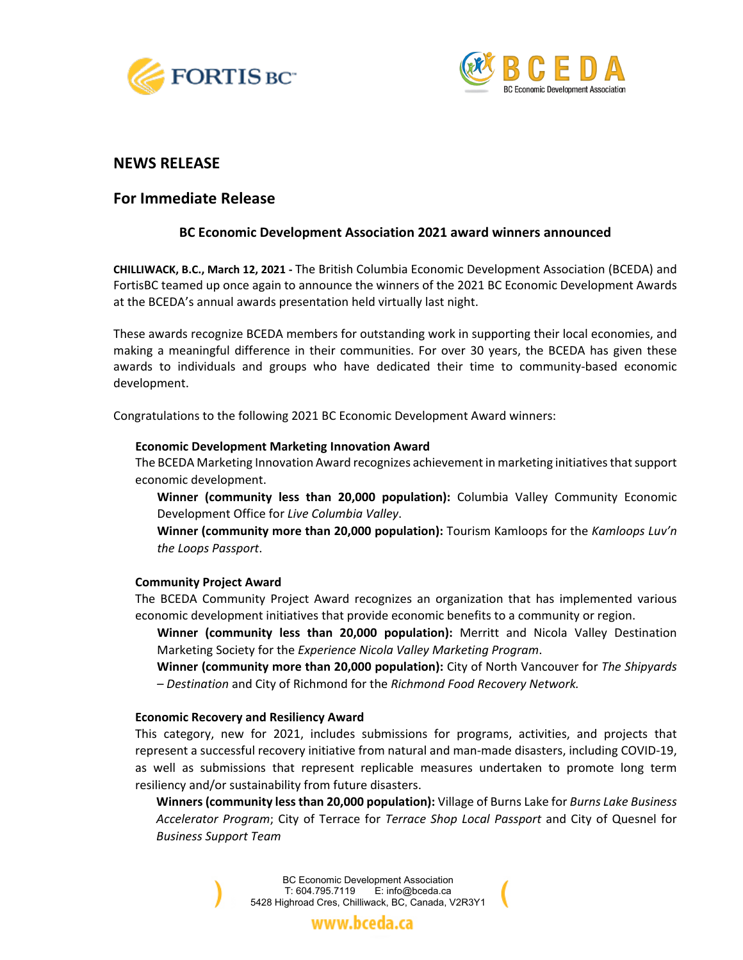



## **NEWS RELEASE**

# **For Immediate Release**

## **BC Economic Development Association 2021 award winners announced**

**CHILLIWACK, B.C., March 12, 2021 -** The British Columbia Economic Development Association (BCEDA) and FortisBC teamed up once again to announce the winners of the 2021 BC Economic Development Awards at the BCEDA's annual awards presentation held virtually last night.

These awards recognize BCEDA members for outstanding work in supporting their local economies, and making a meaningful difference in their communities. For over 30 years, the BCEDA has given these awards to individuals and groups who have dedicated their time to community-based economic development.

Congratulations to the following 2021 BC Economic Development Award winners:

### **Economic Development Marketing Innovation Award**

The BCEDA Marketing Innovation Award recognizes achievement in marketing initiativesthat support economic development.

**Winner (community less than 20,000 population):** Columbia Valley Community Economic Development Office for *Live Columbia Valley*.

**Winner (community more than 20,000 population):** Tourism Kamloops for the *Kamloops Luv'n the Loops Passport*.

### **Community Project Award**

The BCEDA Community Project Award recognizes an organization that has implemented various economic development initiatives that provide economic benefits to a community or region.

**Winner (community less than 20,000 population):** Merritt and Nicola Valley Destination Marketing Society for the *Experience Nicola Valley Marketing Program*.

**Winner (community more than 20,000 population):** City of North Vancouver for *The Shipyards – Destination* and City of Richmond for the *Richmond Food Recovery Network.*

### **Economic Recovery and Resiliency Award**

This category, new for 2021, includes submissions for programs, activities, and projects that represent a successful recovery initiative from natural and man-made disasters, including COVID-19, as well as submissions that represent replicable measures undertaken to promote long term resiliency and/or sustainability from future disasters.

**Winners (community less than 20,000 population):** Village of Burns Lake for *Burns Lake Business Accelerator Program*; City of Terrace for *Terrace Shop Local Passport* and City of Quesnel for *Business Support Team*

> BC Economic Development Association T: 604.795.7119 E: info@bceda.ca 5428 Highroad Cres, Chilliwack, BC, Canada, V2R3Y1

> > www.bceda.ca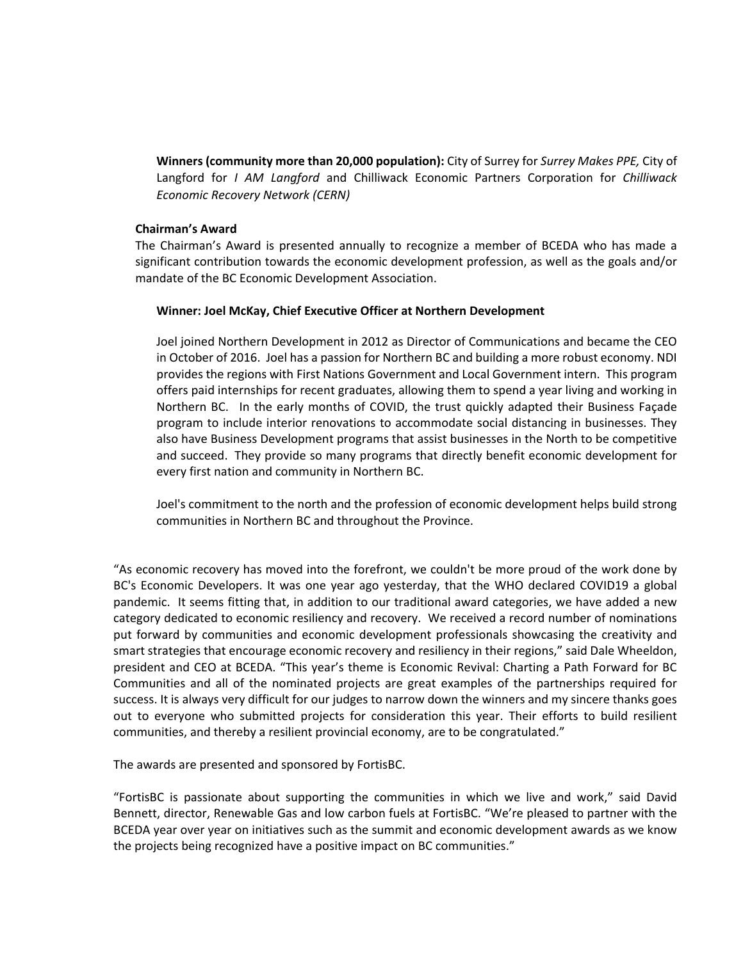**Winners (community more than 20,000 population):** City of Surrey for *Surrey Makes PPE,* City of Langford for *I AM Langford* and Chilliwack Economic Partners Corporation for *Chilliwack Economic Recovery Network (CERN)*

### **Chairman's Award**

The Chairman's Award is presented annually to recognize a member of BCEDA who has made a significant contribution towards the economic development profession, as well as the goals and/or mandate of the BC Economic Development Association.

## **Winner: Joel McKay, Chief Executive Officer at Northern Development**

Joel joined Northern Development in 2012 as Director of Communications and became the CEO in October of 2016. Joel has a passion for Northern BC and building a more robust economy. NDI provides the regions with First Nations Government and Local Government intern. This program offers paid internships for recent graduates, allowing them to spend a year living and working in Northern BC. In the early months of COVID, the trust quickly adapted their Business Façade program to include interior renovations to accommodate social distancing in businesses. They also have Business Development programs that assist businesses in the North to be competitive and succeed. They provide so many programs that directly benefit economic development for every first nation and community in Northern BC.

Joel's commitment to the north and the profession of economic development helps build strong communities in Northern BC and throughout the Province.

"As [economic recovery](https://www.facebook.com/hashtag/economicrecovery?__eep__=6&__cft__%5b0%5d=AZV2otSWcjmdACXaNjrUt_dhExd78pWTXWVRGVFVbOILDm88eb1lGfcJ4z87rH5XMVknKaEkuW_zP3ZI8TOMKHb49jxL_xr1TYUtawHBGHnxLvCblDsNTHQNLtTmY1ARkjGn5xcwRntZv6tAfkoxb78o9Jv-Y0FL2aJf3n_PqHXemyk9R2WbgjCZulWpJgtYt_k&__tn__=*NK-R) has moved into the forefront, we couldn't be more proud of the work done by BC's [Economic Developers.](https://www.facebook.com/hashtag/economicdevelopers?__eep__=6&__cft__%5b0%5d=AZV2otSWcjmdACXaNjrUt_dhExd78pWTXWVRGVFVbOILDm88eb1lGfcJ4z87rH5XMVknKaEkuW_zP3ZI8TOMKHb49jxL_xr1TYUtawHBGHnxLvCblDsNTHQNLtTmY1ARkjGn5xcwRntZv6tAfkoxb78o9Jv-Y0FL2aJf3n_PqHXemyk9R2WbgjCZulWpJgtYt_k&__tn__=*NK-R) It was one year ago yesterday, that the WHO declared COVID19 a global pandemic. It seems fitting that, in addition to our traditional award categories, we have added a new category dedicated to economic resiliency and recovery. We received a record number of nominations put forward by communities and economic development professionals showcasing the creativity and smart strategies that encourage economic recovery and resiliency in their regions," said Dale Wheeldon, president and CEO at BCEDA. "This year's theme is Economic Revival: Charting a Path Forward for BC Communities and all of the nominated projects are great examples of the partnerships required for success. It is always very difficult for our judges to narrow down the winners and my sincere thanks goes out to everyone who submitted projects for consideration this year. Their efforts to build resilient communities, and thereby a resilient provincial economy, are to be congratulated."

The awards are presented and sponsored by FortisBC.

"FortisBC is passionate about supporting the communities in which we live and work," said David Bennett, director, Renewable Gas and low carbon fuels at FortisBC. "We're pleased to partner with the BCEDA year over year on initiatives such as the summit and economic development awards as we know the projects being recognized have a positive impact on BC communities."